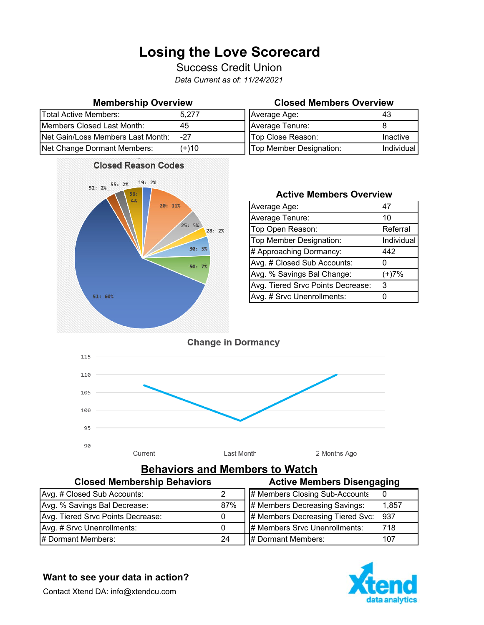## **Losing the Love Scorecard**

Success Credit Union

*Data Current as of: 11/24/2021*

| <b>Total Active Members:</b>      | 5.277 | Average Age:            |            |
|-----------------------------------|-------|-------------------------|------------|
| Members Closed Last Month:        | 45    | Average Tenure:         |            |
| Net Gain/Loss Members Last Month: | -27   | Top Close Reason:       | Inactive   |
| Net Change Dormant Members:       | (+)10 | Top Member Designation: | Individual |



### **Membership Overview Closed Members Overview**

| Average Age:            | 43         |
|-------------------------|------------|
| Average Tenure:         |            |
| Top Close Reason:       | Inactive   |
| Top Member Designation: | Individual |

### **Active Members Overview**

| Average Age:                      | 47         |
|-----------------------------------|------------|
| Average Tenure:                   | 10         |
| Top Open Reason:                  | Referral   |
| Top Member Designation:           | Individual |
| # Approaching Dormancy:           | 442        |
| Avg. # Closed Sub Accounts:       |            |
| Avg. % Savings Bal Change:        | $(+)7%$    |
| Avg. Tiered Srvc Points Decrease: | 3          |
| Avg. # Srvc Unenrollments:        |            |



# **Behaviors and Members to Watch**<br>mbership Pehaviors **Active Mam**

| <b>Closed Membership Behaviors</b> |     | <b>Active Members Disengaging</b>    |       |
|------------------------------------|-----|--------------------------------------|-------|
| Avg. # Closed Sub Accounts:        |     | # Members Closing Sub-Accounts       |       |
| Avg. % Savings Bal Decrease:       | 87% | # Members Decreasing Savings:        | 1,857 |
| Avg. Tiered Srvc Points Decrease:  |     | # Members Decreasing Tiered Svc: 937 |       |
| Avg. # Srvc Unenrollments:         |     | # Members Srvc Unenrollments:        | 718   |
| # Dormant Members:                 | 24  | # Dormant Members:                   | 107   |



**Want to see your data in action?** 

Contact Xtend DA: info@xtendcu.com